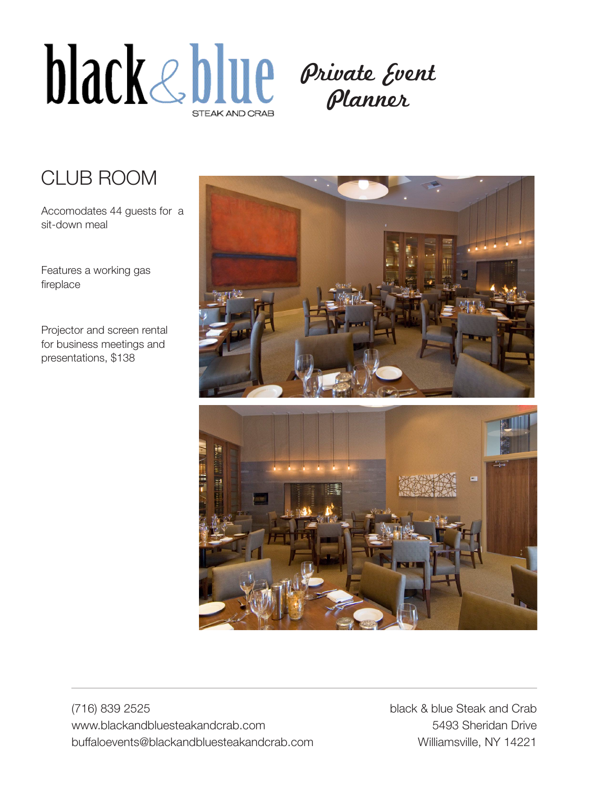



### CLUB ROOM

Accomodates 44 guests for a sit-down meal

Features a working gas fireplace

Projector and screen rental for business meetings and presentations, \$138

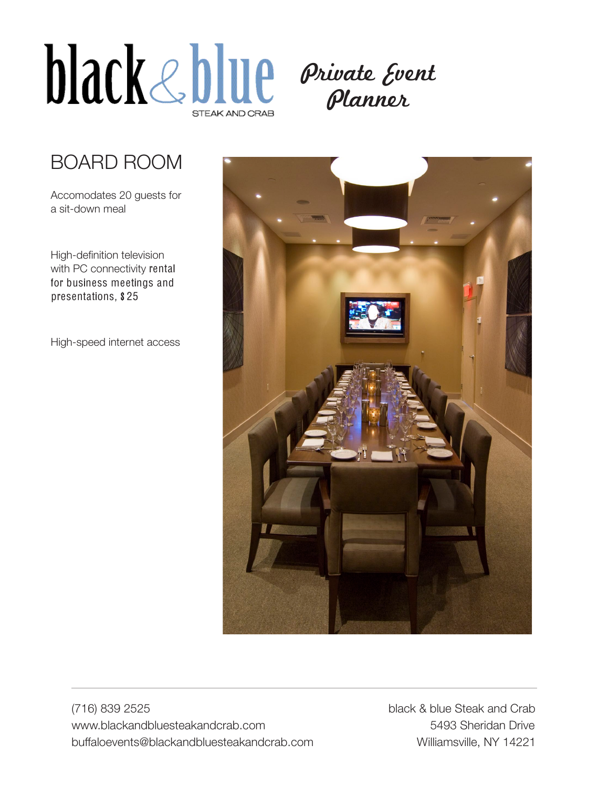



### BOARD ROOM

Accomodates 20 guests for a sit-down meal

High-definition television with PC connectivity rental for business meetings and presentations, \$25

High-speed internet access



(716) 839 2525 black & blue Steak and Crab www.blackandbluesteakandcrab.com 5493 Sheridan Drive buffaloevents@blackandbluesteakandcrab.com Williamsville, NY 14221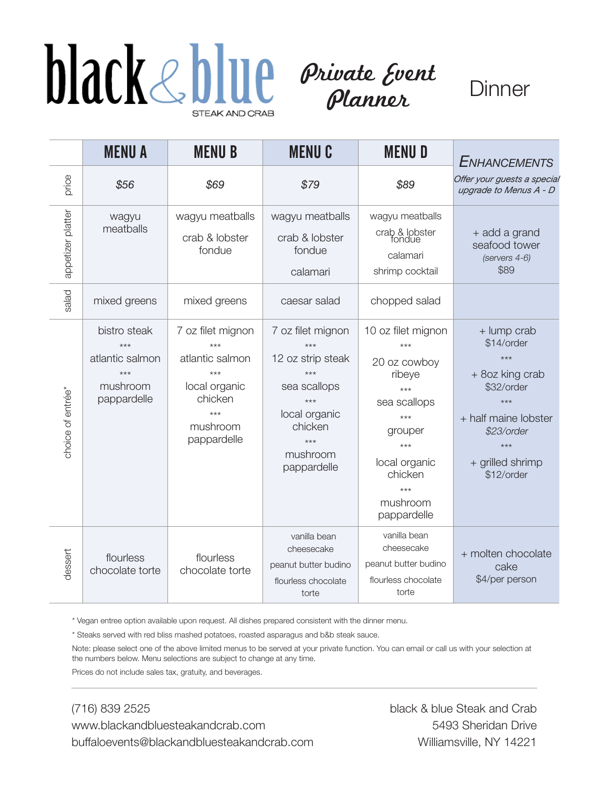# STEAK AND CRAE



**Dinner** 

|                   | <b>MENU A</b>                                                                | <b>MENUB</b>                                                                                                | <b>MENUC</b>                                                                                                                                        | <b>MENUD</b>                                                                                                                                                            | <b>ENHANCEMENTS</b>                                                                                                                                         |
|-------------------|------------------------------------------------------------------------------|-------------------------------------------------------------------------------------------------------------|-----------------------------------------------------------------------------------------------------------------------------------------------------|-------------------------------------------------------------------------------------------------------------------------------------------------------------------------|-------------------------------------------------------------------------------------------------------------------------------------------------------------|
| price             | \$56                                                                         | \$69                                                                                                        | \$79                                                                                                                                                | \$89                                                                                                                                                                    | Offer your guests a special<br>upgrade to Menus A - D                                                                                                       |
| appetizer platter | wagyu<br>meatballs                                                           | wagyu meatballs<br>crab & lobster<br>fondue                                                                 | wagyu meatballs<br>crab & lobster<br>fondue<br>calamari                                                                                             | wagyu meatballs<br>crab & lobster<br>fondue<br>calamari<br>shrimp cocktail                                                                                              | + add a grand<br>seafood tower<br>(servers 4-6)<br>\$89                                                                                                     |
| salad             | mixed greens                                                                 | mixed greens                                                                                                | caesar salad                                                                                                                                        | chopped salad                                                                                                                                                           |                                                                                                                                                             |
| choice of entrée* | bistro steak<br>$+ + +$<br>atlantic salmon<br>***<br>mushroom<br>pappardelle | 7 oz filet mignon<br>atlantic salmon<br>$***$<br>local organic<br>chicken<br>***<br>mushroom<br>pappardelle | 7 oz filet mignon<br>$+ + +$<br>12 oz strip steak<br>$***$<br>sea scallops<br>$***$<br>local organic<br>chicken<br>$***$<br>mushroom<br>pappardelle | 10 oz filet mignon<br>***<br>20 oz cowboy<br>ribeye<br>$***$<br>sea scallops<br>***<br>grouper<br>$***$<br>local organic<br>chicken<br>$***$<br>mushroom<br>pappardelle | + lump crab<br>\$14/order<br>$***$<br>+ 8oz king crab<br>\$32/order<br>$***$<br>+ half maine lobster<br>\$23/order<br>***<br>+ grilled shrimp<br>\$12/order |
| dessert           | flourless<br>chocolate torte                                                 | flourless<br>chocolate torte                                                                                | vanilla bean<br>cheesecake<br>peanut butter budino<br>flourless chocolate<br>torte                                                                  | vanilla bean<br>cheesecake<br>peanut butter budino<br>flourless chocolate<br>torte                                                                                      | + molten chocolate<br>cake<br>\$4/per person                                                                                                                |

\* Vegan entree option available upon request. All dishes prepared consistent with the dinner menu.

\* Steaks served with red bliss mashed potatoes, roasted asparagus and b&b steak sauce.

Note: please select one of the above limited menus to be served at your private function. You can email or call us with your selection at the numbers below. Menu selections are subject to change at any time.

Prices do not include sales tax, gratuity, and beverages.

#### (716) 839 2525 black & blue Steak and Crab www.blackandbluesteakandcrab.com 5493 Sheridan Drive buffaloevents@blackandbluesteakandcrab.com Williamsville, NY 14221